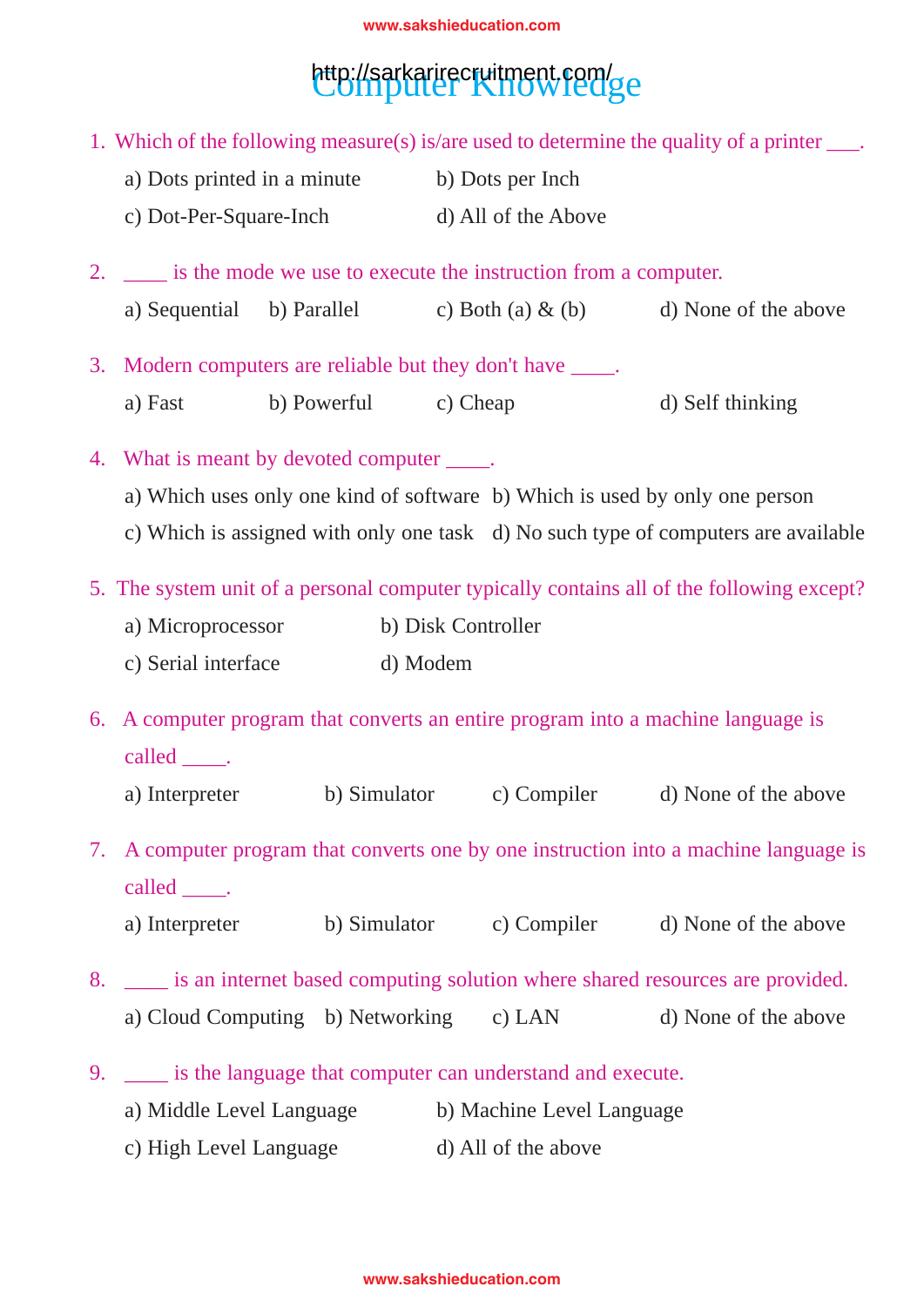## http://sarkarirecruitment.com/ge

2. \_\_\_\_ is the mode we use to execute the instruction from a computer. a) Sequential b) Parallel c) Both (a)  $\&$  (b) d) None of the above 3. Modern computers are reliable but they don't have \_\_\_\_\_. a) Fast b) Powerful c) Cheap d) Self thinking 4. What is meant by devoted computer \_\_\_\_\_. a) Which uses only one kind of software b) Which is used by only one person c) Which is assigned with only one task d) No such type of computers are available 5. The system unit of a personal computer typically contains all of the following except? a) Microprocessor b) Disk Controller c) Serial interface d) Modem 6. A computer program that converts an entire program into a machine language is called \_\_\_\_\_\_. a) Interpreter b) Simulator c) Compiler d) None of the above 7. A computer program that converts one by one instruction into a machine language is called \_\_\_\_\_. a) Interpreter b) Simulator c) Compiler d) None of the above 8. \_\_\_\_ is an internet based computing solution where shared resources are provided. a) Cloud Computing b) Networking c) LAN d) None of the above 9. \_\_\_\_ is the language that computer can understand and execute. a) Middle Level Language b) Machine Level Language c) High Level Language d) All of the above 1. Which of the following measure(s) is/are used to determine the quality of a printer \_\_\_. a) Dots printed in a minute b) Dots per Inch c) Dot-Per-Square-Inch d) All of the Above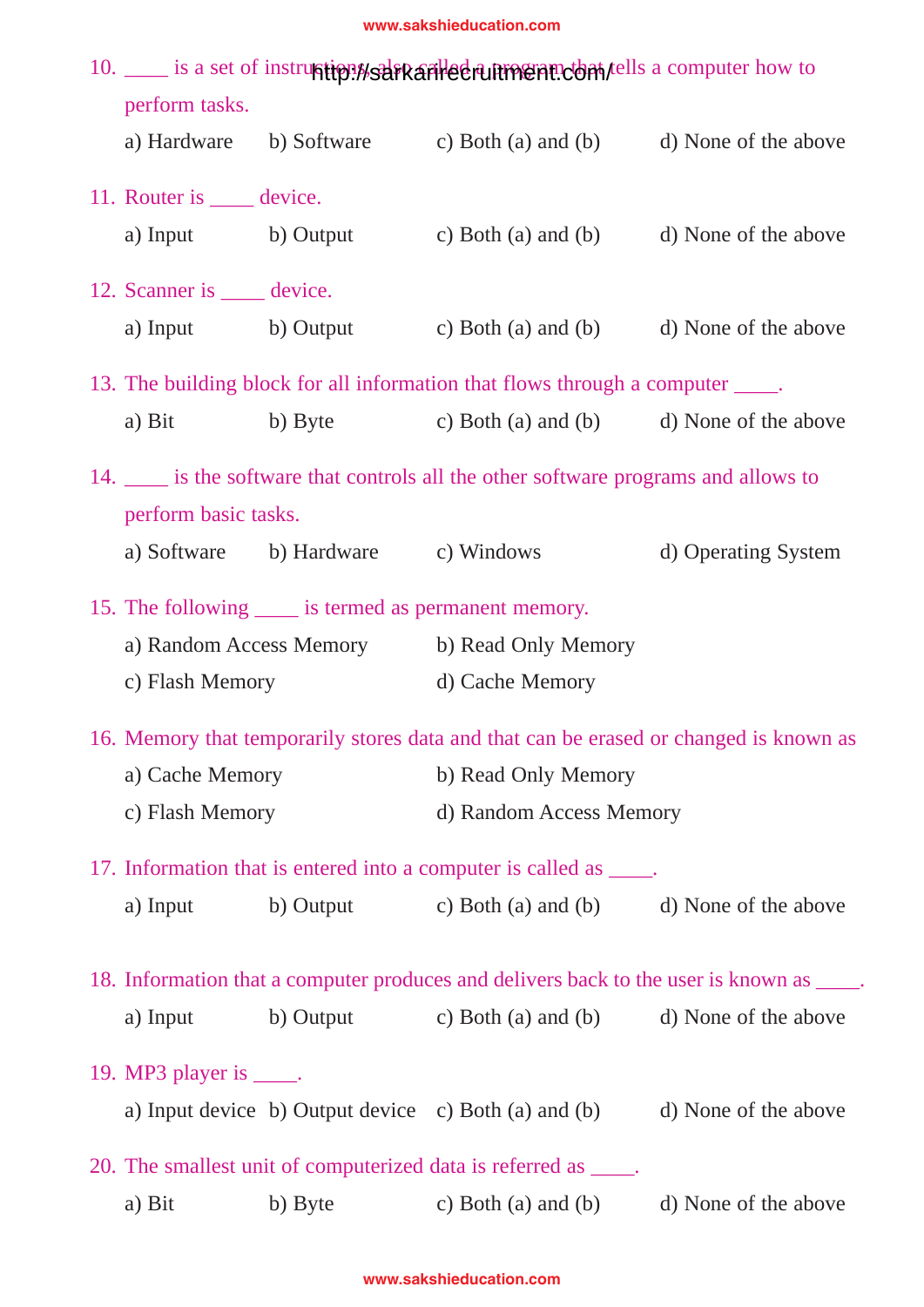| 10. ____ is a set of instruction as a set of instruction as a computer how to |                                    |                                                                                          |                      |  |  |  |  |
|-------------------------------------------------------------------------------|------------------------------------|------------------------------------------------------------------------------------------|----------------------|--|--|--|--|
| perform tasks.                                                                |                                    |                                                                                          |                      |  |  |  |  |
|                                                                               |                                    | a) Hardware b) Software c) Both (a) and (b) d) None of the above                         |                      |  |  |  |  |
| 11. Router is <u>equal</u> device.                                            |                                    |                                                                                          |                      |  |  |  |  |
| a) Input b) Output                                                            |                                    | c) Both (a) and (b) d) None of the above                                                 |                      |  |  |  |  |
| 12. Scanner is <u>equal</u> device.                                           |                                    |                                                                                          |                      |  |  |  |  |
|                                                                               |                                    | a) Input b) Output c) Both (a) and (b) d) None of the above                              |                      |  |  |  |  |
|                                                                               |                                    | 13. The building block for all information that flows through a computer _____.          |                      |  |  |  |  |
| a) Bit                                                                        |                                    | b) Byte c) Both (a) and (b) d) None of the above                                         |                      |  |  |  |  |
|                                                                               |                                    | 14. _____ is the software that controls all the other software programs and allows to    |                      |  |  |  |  |
| perform basic tasks.                                                          |                                    |                                                                                          |                      |  |  |  |  |
|                                                                               | a) Software b) Hardware c) Windows |                                                                                          | d) Operating System  |  |  |  |  |
| 15. The following <u>same</u> is termed as permanent memory.                  |                                    |                                                                                          |                      |  |  |  |  |
|                                                                               |                                    | a) Random Access Memory b) Read Only Memory                                              |                      |  |  |  |  |
| c) Flash Memory                                                               |                                    | d) Cache Memory                                                                          |                      |  |  |  |  |
|                                                                               |                                    | 16. Memory that temporarily stores data and that can be erased or changed is known as    |                      |  |  |  |  |
| a) Cache Memory                                                               |                                    | b) Read Only Memory                                                                      |                      |  |  |  |  |
| c) Flash Memory                                                               |                                    | d) Random Access Memory                                                                  |                      |  |  |  |  |
|                                                                               |                                    | 17. Information that is entered into a computer is called as _____.                      |                      |  |  |  |  |
| a) Input                                                                      |                                    | b) Output c) Both (a) and (b) d) None of the above                                       |                      |  |  |  |  |
|                                                                               |                                    | 18. Information that a computer produces and delivers back to the user is known as ____. |                      |  |  |  |  |
| a) Input                                                                      |                                    | b) Output c) Both (a) and (b) d) None of the above                                       |                      |  |  |  |  |
| 19. MP3 player is $\_\_\$ .                                                   |                                    |                                                                                          |                      |  |  |  |  |
|                                                                               |                                    | a) Input device b) Output device c) Both (a) and (b) d) None of the above                |                      |  |  |  |  |
|                                                                               |                                    | 20. The smallest unit of computerized data is referred as _____.                         |                      |  |  |  |  |
| a) Bit                                                                        | b) Byte                            | c) Both (a) and (b)                                                                      | d) None of the above |  |  |  |  |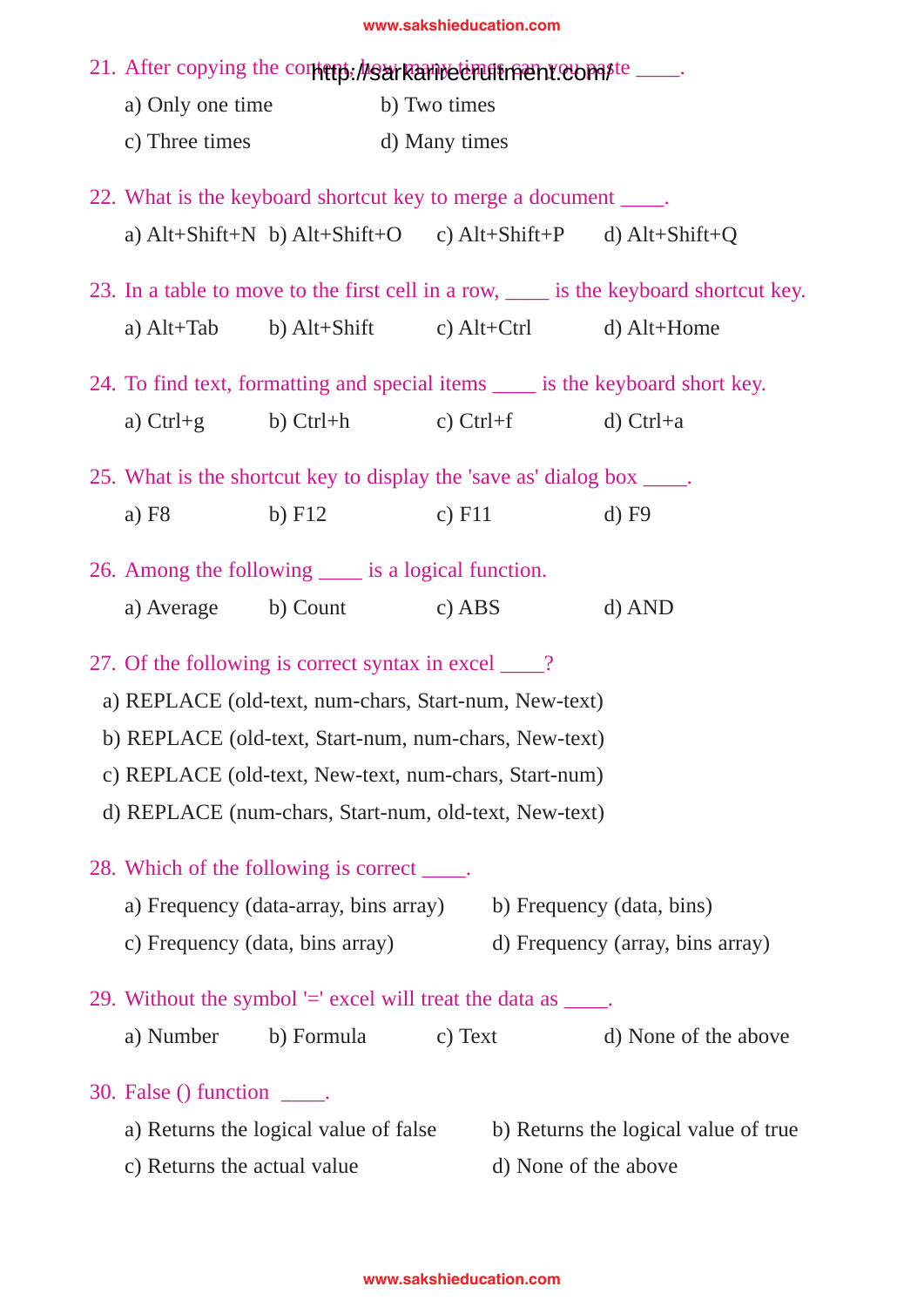| 21. After copying the contemps: heart Rambeter untractional compute                          |          |               |          |  |                                  |                                      |  |  |
|----------------------------------------------------------------------------------------------|----------|---------------|----------|--|----------------------------------|--------------------------------------|--|--|
| a) Only one time                                                                             |          | b) Two times  |          |  |                                  |                                      |  |  |
| c) Three times                                                                               |          | d) Many times |          |  |                                  |                                      |  |  |
| 22. What is the keyboard shortcut key to merge a document _____.                             |          |               |          |  |                                  |                                      |  |  |
| a) $Alt+Shift+N$ b) $Alt+Shift+O$ c) $Alt+Shift+P$ d) $Alt+Shift+Q$                          |          |               |          |  |                                  |                                      |  |  |
| 23. In a table to move to the first cell in a row, <u>each is</u> the keyboard shortcut key. |          |               |          |  |                                  |                                      |  |  |
| a) $Alt+Tab$ b) $Alt+Shift$ c) $Alt+Ctrl$ d) $Alt+Home$                                      |          |               |          |  |                                  |                                      |  |  |
| 24. To find text, formatting and special items _____ is the keyboard short key.              |          |               |          |  |                                  |                                      |  |  |
| a) $Ctrl + g$ b) $Ctrl + h$ c) $Ctrl + f$                                                    |          |               |          |  | $d)$ Ctrl+a                      |                                      |  |  |
| 25. What is the shortcut key to display the 'save as' dialog box _____.                      |          |               |          |  |                                  |                                      |  |  |
| a) $F8$                                                                                      | $b)$ F12 |               | c) $F11$ |  | $d)$ F9                          |                                      |  |  |
| 26. Among the following _____ is a logical function.                                         |          |               |          |  |                                  |                                      |  |  |
| a) Average b) Count c) ABS                                                                   |          |               |          |  | $d)$ AND                         |                                      |  |  |
| 27. Of the following is correct syntax in excel ____?                                        |          |               |          |  |                                  |                                      |  |  |
| a) REPLACE (old-text, num-chars, Start-num, New-text)                                        |          |               |          |  |                                  |                                      |  |  |
| b) REPLACE (old-text, Start-num, num-chars, New-text)                                        |          |               |          |  |                                  |                                      |  |  |
| c) REPLACE (old-text, New-text, num-chars, Start-num)                                        |          |               |          |  |                                  |                                      |  |  |
| d) REPLACE (num-chars, Start-num, old-text, New-text)                                        |          |               |          |  |                                  |                                      |  |  |
| 28. Which of the following is correct _____.                                                 |          |               |          |  |                                  |                                      |  |  |
| a) Frequency (data-array, bins array)                                                        |          |               |          |  | b) Frequency (data, bins)        |                                      |  |  |
| c) Frequency (data, bins array)                                                              |          |               |          |  | d) Frequency (array, bins array) |                                      |  |  |
| 29. Without the symbol $=$ excel will treat the data as $\_\_\_\_\$ .                        |          |               |          |  |                                  |                                      |  |  |
| a) Number b) Formula                                                                         |          |               | c) Text  |  |                                  | d) None of the above                 |  |  |
| 30. False $()$ function $\rule{1em}{0.15mm}$ .                                               |          |               |          |  |                                  |                                      |  |  |
| a) Returns the logical value of false                                                        |          |               |          |  |                                  | b) Returns the logical value of true |  |  |
| c) Returns the actual value                                                                  |          |               |          |  | d) None of the above             |                                      |  |  |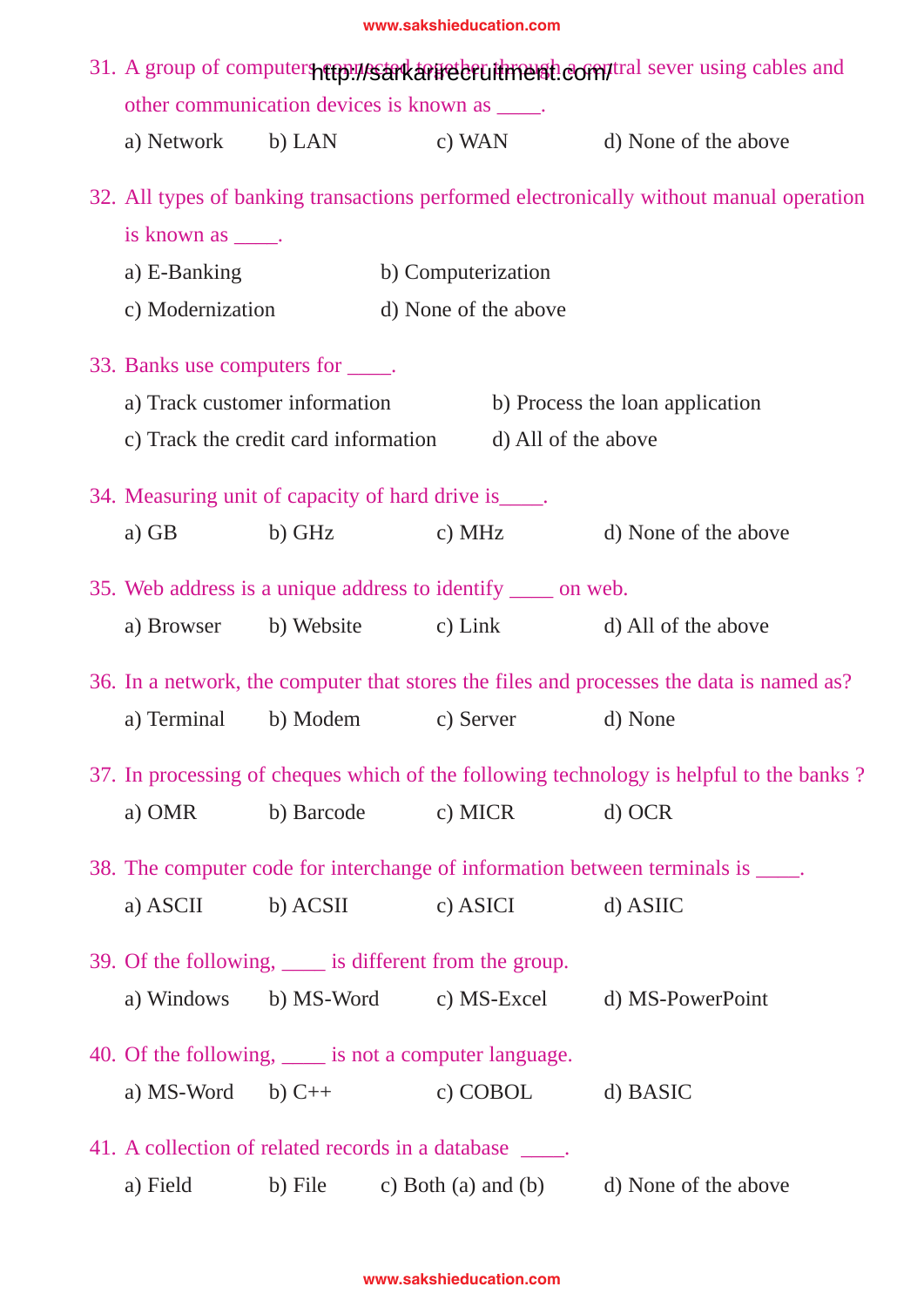| 31. A group of computers represent arreter through comptral sever using cables and<br>other communication devices is known as _____. |            |                      |  |                                                                                          |  |
|--------------------------------------------------------------------------------------------------------------------------------------|------------|----------------------|--|------------------------------------------------------------------------------------------|--|
|                                                                                                                                      |            |                      |  | a) Network b) LAN c) WAN d) None of the above                                            |  |
|                                                                                                                                      |            |                      |  | 32. All types of banking transactions performed electronically without manual operation  |  |
| is known as _____.                                                                                                                   |            |                      |  |                                                                                          |  |
| a) E-Banking                                                                                                                         |            | b) Computerization   |  |                                                                                          |  |
| c) Modernization                                                                                                                     |            | d) None of the above |  |                                                                                          |  |
| 33. Banks use computers for _____.                                                                                                   |            |                      |  |                                                                                          |  |
| a) Track customer information                                                                                                        |            |                      |  | b) Process the loan application                                                          |  |
| c) Track the credit card information d) All of the above                                                                             |            |                      |  |                                                                                          |  |
| 34. Measuring unit of capacity of hard drive is _____.                                                                               |            |                      |  |                                                                                          |  |
|                                                                                                                                      |            |                      |  | a) GB b) GHz c) MHz d) None of the above                                                 |  |
|                                                                                                                                      |            |                      |  |                                                                                          |  |
| 35. Web address is a unique address to identify _____ on web.                                                                        |            |                      |  |                                                                                          |  |
|                                                                                                                                      |            |                      |  | a) Browser b) Website c) Link d) All of the above                                        |  |
|                                                                                                                                      |            |                      |  | 36. In a network, the computer that stores the files and processes the data is named as? |  |
| a) Terminal b) Modem c) Server d) None                                                                                               |            |                      |  |                                                                                          |  |
|                                                                                                                                      |            |                      |  | 37. In processing of cheques which of the following technology is helpful to the banks?  |  |
| a) OMR                                                                                                                               | b) Barcode | c) MICR              |  | $d)$ OCR                                                                                 |  |
|                                                                                                                                      |            |                      |  | 38. The computer code for interchange of information between terminals is _____.         |  |
| a) ASCII                                                                                                                             | b) ACSII   | c) ASICI             |  | d) ASIIC                                                                                 |  |
| 39. Of the following, <u>equal</u> is different from the group.                                                                      |            |                      |  |                                                                                          |  |
| a) Windows                                                                                                                           |            |                      |  | b) MS-Word c) MS-Excel d) MS-PowerPoint                                                  |  |
| 40. Of the following, <u>____</u> is not a computer language.                                                                        |            |                      |  |                                                                                          |  |
| a) MS-Word b) $C++$                                                                                                                  |            | c) COBOL             |  | d) BASIC                                                                                 |  |
| 41. A collection of related records in a database _____.                                                                             |            |                      |  |                                                                                          |  |
| a) Field                                                                                                                             |            |                      |  | b) File c) Both (a) and (b) d) None of the above                                         |  |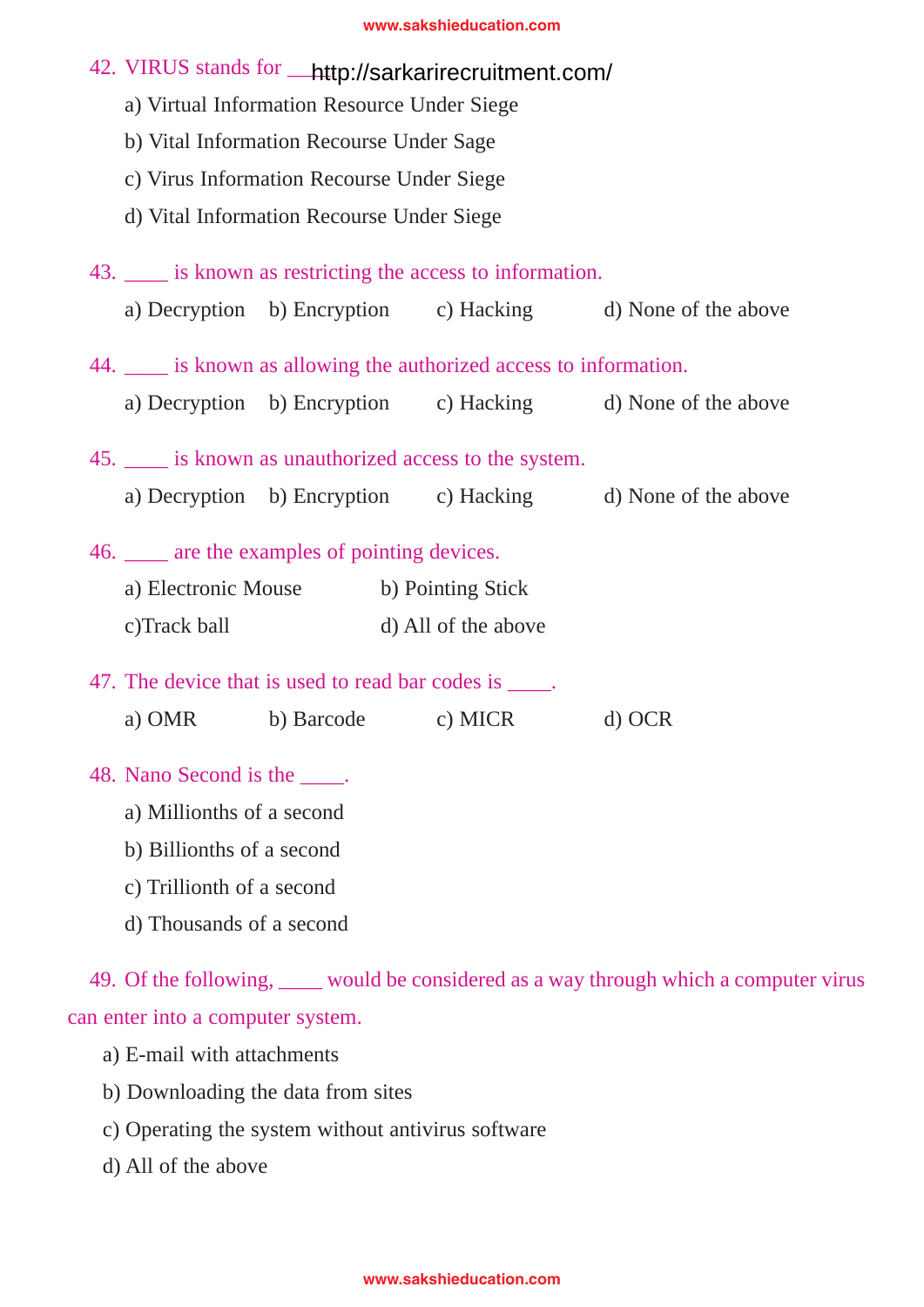| 42. VIRUS stands for __http://sarkarirecruitment.com/<br>a) Virtual Information Resource Under Siege |                     |  |  |                                                             |  |  |  |  |
|------------------------------------------------------------------------------------------------------|---------------------|--|--|-------------------------------------------------------------|--|--|--|--|
| b) Vital Information Recourse Under Sage                                                             |                     |  |  |                                                             |  |  |  |  |
| c) Virus Information Recourse Under Siege                                                            |                     |  |  |                                                             |  |  |  |  |
| d) Vital Information Recourse Under Siege                                                            |                     |  |  |                                                             |  |  |  |  |
| 43. ____ is known as restricting the access to information.                                          |                     |  |  |                                                             |  |  |  |  |
|                                                                                                      |                     |  |  | a) Decryption b) Encryption c) Hacking d) None of the above |  |  |  |  |
| 44. ____ is known as allowing the authorized access to information.                                  |                     |  |  |                                                             |  |  |  |  |
|                                                                                                      |                     |  |  | a) Decryption b) Encryption c) Hacking d) None of the above |  |  |  |  |
| 45. is known as unauthorized access to the system.                                                   |                     |  |  |                                                             |  |  |  |  |
|                                                                                                      |                     |  |  | a) Decryption b) Encryption c) Hacking d) None of the above |  |  |  |  |
| 46. _____ are the examples of pointing devices.                                                      |                     |  |  |                                                             |  |  |  |  |
| a) Electronic Mouse b) Pointing Stick                                                                |                     |  |  |                                                             |  |  |  |  |
| c)Track ball                                                                                         | d) All of the above |  |  |                                                             |  |  |  |  |
| 47. The device that is used to read bar codes is _____.                                              |                     |  |  |                                                             |  |  |  |  |
| a) OMR b) Barcode c) MICR d) OCR                                                                     |                     |  |  |                                                             |  |  |  |  |
| 48. Nano Second is the ____.                                                                         |                     |  |  |                                                             |  |  |  |  |

- a) Millionths of a second
- b) Billionths of a second
- c) Trillionth of a second
- d) Thousands of a second

49. Of the following, \_\_\_\_ would be considered as a way through which a computer virus can enter into a computer system.

- a) E-mail with attachments
- b) Downloading the data from sites
- c) Operating the system without antivirus software
- d) All of the above